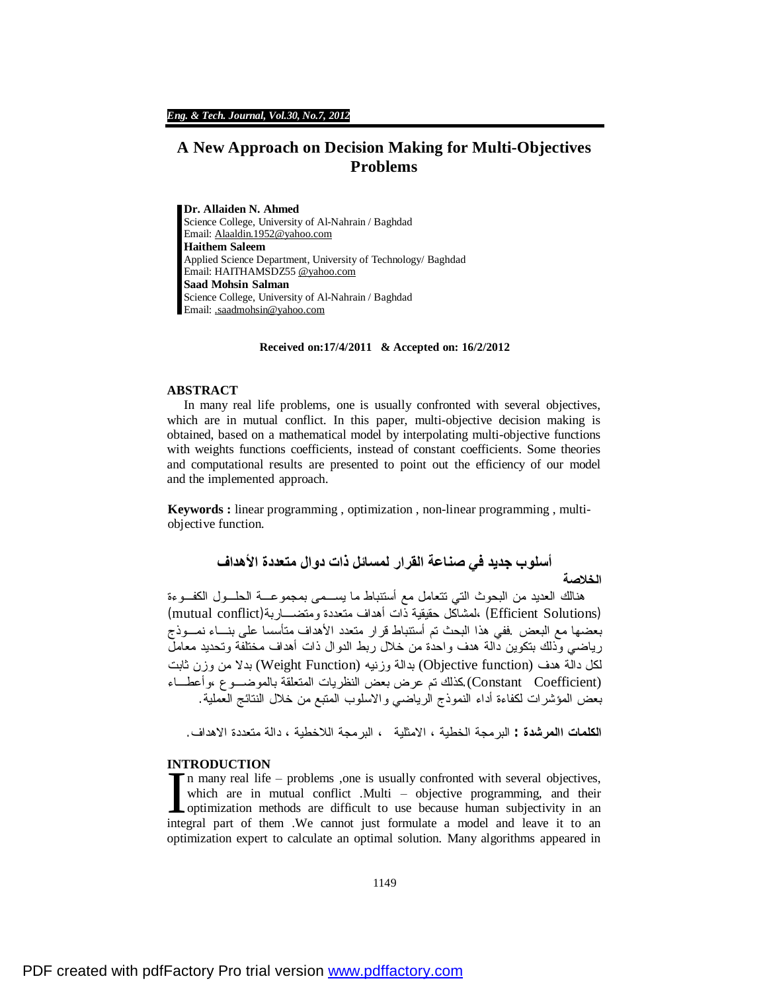# **A New Approach on Decision Making for Multi-Objectives Problems**

**Dr. Allaiden N. Ahmed**  Science College, University of Al-Nahrain / Baghdad Email: [Alaaldin.1952@yahoo.com](mailto:Alaaldin.1952@yahoo.com) **Haithem Saleem**  Applied Science Department, University of Technology/ Baghdad Email: HAITHAMSDZ55 [@yahoo.com](mailto:@yahoo.com) **Saad Mohsin Salman**  Science College, University of Al-Nahrain / Baghdad Email: [.saadmohsin@yahoo.com](mailto:.saadmohsin@yahoo.com)

#### **Received on:17/4/2011 & Accepted on: 16/2/2012**

#### **ABSTRACT**

In many real life problems, one is usually confronted with several objectives, which are in mutual conflict. In this paper, multi-objective decision making is obtained, based on a mathematical model by interpolating multi-objective functions with weights functions coefficients, instead of constant coefficients. Some theories and computational results are presented to point out the efficiency of our model and the implemented approach.

**Keywords :** linear programming , optimization , non-linear programming , multiobjective function.

## **أسلوب جدید في صناعة القرار لمسائل ذات دوال متعددة الأھداف الخلاصة**

هنالك العديد من البحوث التي تتعامل مع أستنباط ما يسـمى بمجموعـة الحلـول الكفـوءة (Efficient Solutions ) ،لمشاكل حقيقية ذات أهداف متعددة ومتضــــار بة(mutual conflict) بعضها مع البعض .ففي هذا البحث تم أستنباط قرار متعدد الأهداف متأسسا على بنـاء نمـوذج رياضي وذلك بتكوين دالة هدف واحدة من خلال ربط الدوال ذات أهداف مختلفة وتحديد معامل لكل دالة هدف (Objective function) بدالة وزنيه (Weight Function) بدلا من وزن ثابت (Constant Coefficient) كذلك تم عرض بعض النظريات المتعلقة بالموضـوع ،وأعطـاء بعض المؤشرات لكفاءة أداء النموذج الرياضي والاسلوب المتبع من خلال النتائج العملية.

**الكلمات االمرشدة :** البرمجة الخطية ، الامثلية ، البرمجة اللاخطية ، دالة متعددة الاهداف.

### **INTRODUCTION**

n many real life – problems ,one is usually confronted with several objectives, which are in mutual conflict .Multi – objective programming, and their The many real life – problems ,one is usually confronted with several objectives, which are in mutual conflict. Multi – objective programming, and their optimization methods are difficult to use because human subjectivity integral part of them .We cannot just formulate a model and leave it to an optimization expert to calculate an optimal solution. Many algorithms appeared in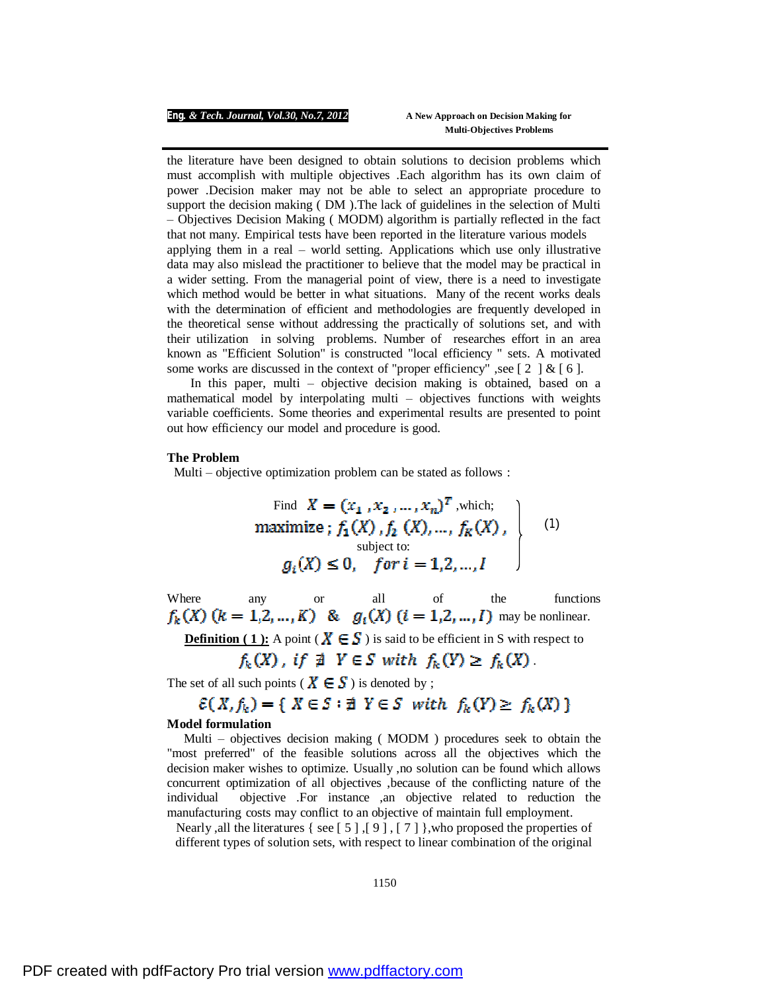#### *Eng. & Tech. Journal, Vol.30, No.7, 2012* **A New Approach on Decision Making for**

 **Multi-Objectives Problems**

the literature have been designed to obtain solutions to decision problems which must accomplish with multiple objectives .Each algorithm has its own claim of power .Decision maker may not be able to select an appropriate procedure to support the decision making ( DM ).The lack of guidelines in the selection of Multi – Objectives Decision Making ( MODM) algorithm is partially reflected in the fact that not many. Empirical tests have been reported in the literature various models applying them in a real – world setting. Applications which use only illustrative data may also mislead the practitioner to believe that the model may be practical in a wider setting. From the managerial point of view, there is a need to investigate which method would be better in what situations. Many of the recent works deals with the determination of efficient and methodologies are frequently developed in the theoretical sense without addressing the practically of solutions set, and with their utilization in solving problems. Number of researches effort in an area known as "Efficient Solution" is constructed "local efficiency " sets. A motivated some works are discussed in the context of "proper efficiency" , see  $[2] \& [6]$ .

 In this paper, multi – objective decision making is obtained, based on a mathematical model by interpolating multi – objectives functions with weights variable coefficients. Some theories and experimental results are presented to point out how efficiency our model and procedure is good.

#### **The Problem**

Multi – objective optimization problem can be stated as follows :

Find 
$$
X = (x_1, x_2, ..., x_n)^T
$$
, which;  
maximize;  $f_1(X), f_2(X), ..., f_K(X)$ ,  
subject to:  
 $g_i(X) \le 0$ , for  $i = 1, 2, ..., I$  (1)

Where any or all of the functions may be nonlinear.

**Definition (1):** A point ( $X \in S$ ) is said to be efficient in S with respect to

$$
f_k(X)
$$
, if  $\nexists Y \in S$  with  $f_k(Y) \ge f_k(X)$ .

The set of all such points ( $X \in S$ ) is denoted by ;

$$
\mathcal{E}(X, f_k) = \{ X \in \mathcal{S} : \nexists Y \in \mathcal{S} \text{ with } f_k(Y) \ge f_k(X) \}
$$

#### **Model formulation**

Multi – objectives decision making ( MODM ) procedures seek to obtain the "most preferred" of the feasible solutions across all the objectives which the decision maker wishes to optimize. Usually ,no solution can be found which allows concurrent optimization of all objectives ,because of the conflicting nature of the individual objective .For instance ,an objective related to reduction the manufacturing costs may conflict to an objective of maintain full employment.

Nearly , all the literatures { see [5], [9], [7], who proposed the properties of different types of solution sets, with respect to linear combination of the original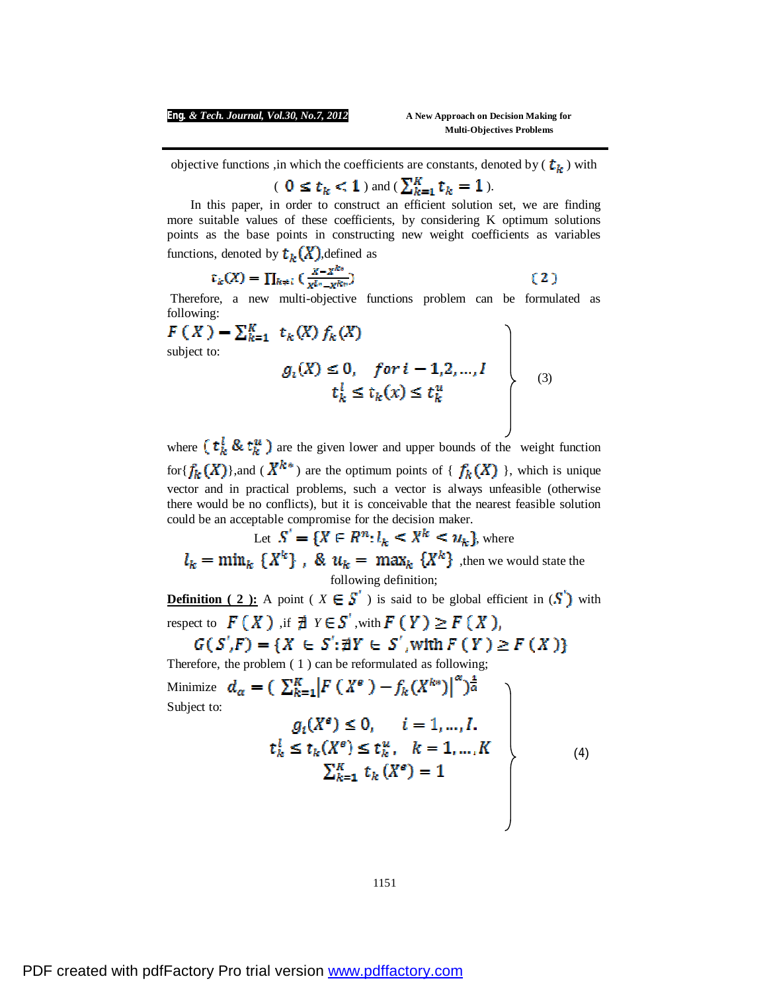**Multi-Objectives Problems**

objective functions ,in which the coefficients are constants, denoted by  $(\mathbf{t}_k)$  with

# (  $0 \le t_k < 1$  ) and (  $\sum_{k=1}^{K} t_k = 1$  ).

 In this paper, in order to construct an efficient solution set, we are finding more suitable values of these coefficients, by considering K optimum solutions points as the base points in constructing new weight coefficients as variables functions, denoted by  $t_k(X)$ , defined as

$$
\mathfrak{r}_k(X) = \prod_{k \neq i} \left( \frac{X - X^{k*}}{X^{l*} - X^{k*}} \right) \tag{2}
$$

Therefore, a new multi-objective functions problem can be formulated as following:

$$
F(X) = \sum_{k=1}^{K} t_k(X) f_k(X)
$$
  
subject to:  

$$
g_i(X) \le 0, \quad \text{for } i = 1, 2, ..., I
$$

$$
t_k^l \le t_k(x) \le t_k^u
$$
(3)

where  $(t_k^l \& t_k^u)$  are the given lower and upper bounds of the weight function for  ${f_k(X)}$ , and  $(X^{k*})$  are the optimum points of  ${f_k(X)}$ , which is unique vector and in practical problems, such a vector is always unfeasible (otherwise there would be no conflicts), but it is conceivable that the nearest feasible solution could be an acceptable compromise for the decision maker.

Let 
$$
S' = \{X \in R^n : l_k < X^k < u_k\}
$$
, where  $l_k = \min_k \{X^k\}$ ,  $k$ ,  $u_k = \max_k \{X^k\}$ , then we would state the following definition;

**Definition** (2): A point ( $X \in S$ ) is said to be global efficient in  $(S)$  with respect to  $F(X)$ , if  $\exists Y \in S'$ , with  $F(Y) \geq F(X)$ ,

$$
G(S',F) = \{X \in S'; \nexists Y \in S', \text{with } F(Y) \ge F(X)\}
$$

Therefore, the problem ( 1 ) can be reformulated as following;

Minimize 
$$
d_{\alpha} = (\sum_{k=1}^{K} |F(X^{\epsilon}) - f_k(X^{k*})|^{\alpha})^{\frac{1}{\alpha}}
$$
  
\nSubject to:  
\n $g_i(X^{\epsilon}) \leq 0, \quad i = 1, ..., I.$   
\n $t_k^l \leq t_k(X^{\epsilon}) \leq t_k^u, \quad k = 1, ..., K$   
\n $\sum_{k=1}^{K} t_k(X^{\epsilon}) = 1$  (4)

1151

 $M<sub>i</sub>$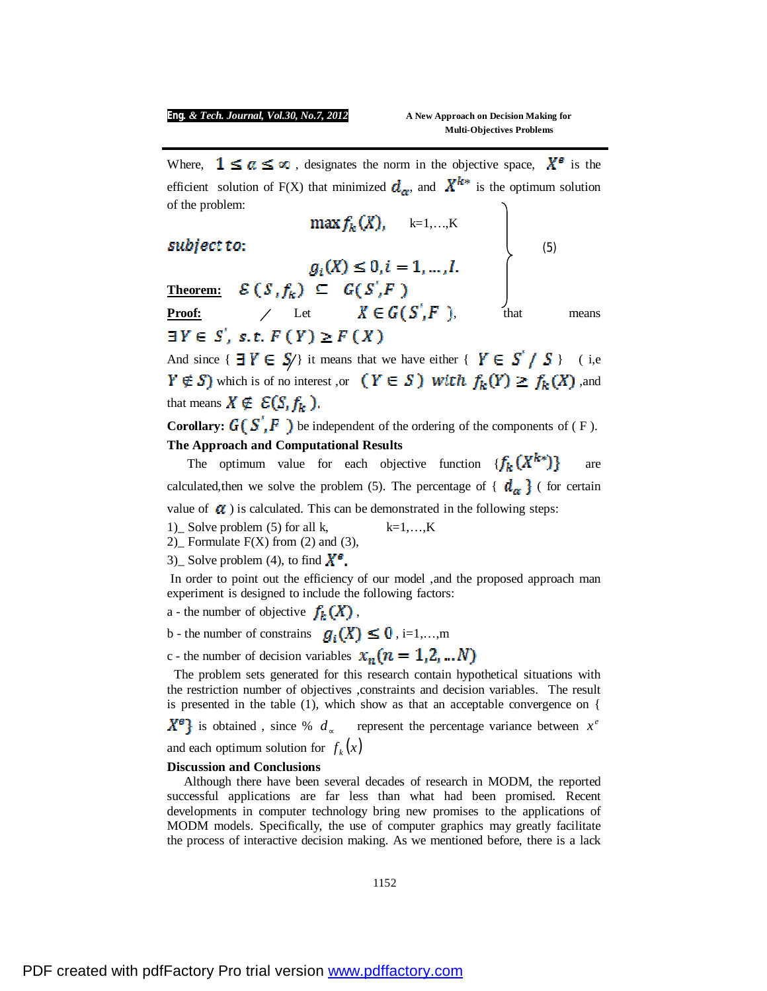#### *Eng. & Tech. Journal, Vol.30, No.7, 2012* **A New Approach on Decision Making for**

Where,  $1 \leq a \leq \infty$ , designates the norm in the objective space,  $X^{\epsilon}$  is the efficient solution of F(X) that minimized  $d_{\alpha}$ , and  $X^{k*}$  is the optimum solution of the problem:

k=1,…,K

**Theorem:**

(5)

**Proof:**  $\angle$  Let  $X \in G(S, F)$ , that means  $\exists Y \in S'$ , s.t.  $F(Y) \geq F(X)$ 

And since  $\{ \exists Y \in S' \}$  it means that we have either  $\{ Y \in S' / S \}$  (i,e  $Y \notin S$ ) which is of no interest ,or  $(Y \in S)$  with  $f_k(Y) \ge f_k(X)$ , and that means  $X \notin \mathcal{E}(S, f_k)$ .

**Corollary:**  $G(S', F)$  be independent of the ordering of the components of (F). **The Approach and Computational Results**

The optimum value for each objective function  $\{f_k(X^{k*})\}$  are calculated, then we solve the problem (5). The percentage of  $\{ d_{\alpha} \}$  (for certain

value of  $\alpha$ ) is calculated. This can be demonstrated in the following steps:

1) Solve problem (5) for all k,  $k=1,...,K$ 

2) Formulate  $F(X)$  from (2) and (3),

3) Solve problem (4), to find  $X^{\mathcal{B}}$ .

In order to point out the efficiency of our model ,and the proposed approach man experiment is designed to include the following factors:

a - the number of objective  $f_k(X)$ ,

b - the number of constrains  $q_i(X) \leq 0$ , i=1,...,m

c - the number of decision variables 
$$
x_n (n = 1,2,...N)
$$

The problem sets generated for this research contain hypothetical situations with the restriction number of objectives ,constraints and decision variables. The result is presented in the table (1), which show as that an acceptable convergence on {

is obtained, since %  $d_{\infty}$  represent the percentage variance between  $x^e$ and each optimum solution for  $f_k(x)$ 

#### **Discussion and Conclusions**

Although there have been several decades of research in MODM, the reported successful applications are far less than what had been promised. Recent developments in computer technology bring new promises to the applications of MODM models. Specifically, the use of computer graphics may greatly facilitate the process of interactive decision making. As we mentioned before, there is a lack

1152